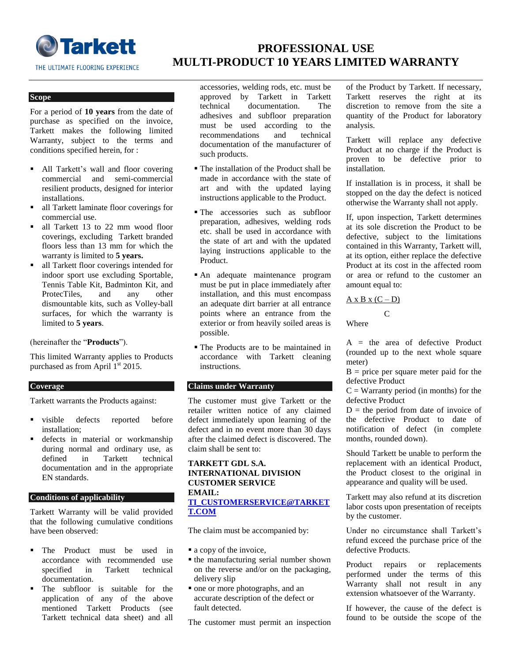

# **PROFESSIONAL USE MULTI-PRODUCT 10 YEARS LIMITED WARRANTY**

## **Scope Scope Scope Scope**

For a period of **10 years** from the date of purchase as specified on the invoice, Tarkett makes the following limited Warranty, subject to the terms and conditions specified herein, for :

- All Tarkett's wall and floor covering commercial and semi-commercial resilient products, designed for interior installations.
- all Tarkett laminate floor coverings for commercial use.
- all Tarkett 13 to 22 mm wood floor coverings, excluding Tarkett branded floors less than 13 mm for which the warranty is limited to **5 years.**
- all Tarkett floor coverings intended for indoor sport use excluding Sportable, Tennis Table Kit, Badminton Kit, and ProtecTiles, and any other dismountable kits, such as Volley-ball surfaces, for which the warranty is limited to **5 years**.

(hereinafter the "**Products**").

This limited Warranty applies to Products purchased as from April  $1<sup>st</sup>$  2015.

## **Coverage**

Tarkett warrants the Products against:

- visible defects reported before installation;
- defects in material or workmanship during normal and ordinary use, as<br>defined in Tarkett technical in Tarkett technical documentation and in the appropriate EN standards.

# **Conditions of applicability**

Tarkett Warranty will be valid provided that the following cumulative conditions have been observed:

- **The Product must be used in** accordance with recommended use specified in Tarkett technical documentation.
- The subfloor is suitable for the application of any of the above mentioned Tarkett Products (see Tarkett technical data sheet) and all

accessories, welding rods, etc. must be approved by Tarkett in Tarkett technical documentation. The adhesives and subfloor preparation must be used according to the recommendations and technical documentation of the manufacturer of such products.

- The installation of the Product shall be made in accordance with the state of art and with the updated laying instructions applicable to the Product.
- The accessories such as subfloor preparation, adhesives, welding rods etc. shall be used in accordance with the state of art and with the updated laying instructions applicable to the Product.
- An adequate maintenance program must be put in place immediately after installation, and this must encompass an adequate dirt barrier at all entrance points where an entrance from the exterior or from heavily soiled areas is possible.
- The Products are to be maintained in accordance with Tarkett cleaning instructions.

# **Claims under Warranty**

The customer must give Tarkett or the retailer written notice of any claimed defect immediately upon learning of the defect and in no event more than 30 days after the claimed defect is discovered. The claim shall be sent to:

## **TARKETT GDL S.A. INTERNATIONAL DIVISION CUSTOMER SERVICE EMAIL: [TI\\_CUSTOMERSERVICE@TARKET](mailto:ti_customerservice@tarkett.com) [T.COM](mailto:ti_customerservice@tarkett.com)**

The claim must be accompanied by:

- $\blacksquare$  a copy of the invoice,
- the manufacturing serial number shown on the reverse and/or on the packaging, delivery slip
- one or more photographs, and an accurate description of the defect or fault detected.

The customer must permit an inspection

of the Product by Tarkett. If necessary, Tarkett reserves the right at its discretion to remove from the site a quantity of the Product for laboratory analysis.

Tarkett will replace any defective Product at no charge if the Product is proven to be defective prior to installation.

If installation is in process, it shall be stopped on the day the defect is noticed otherwise the Warranty shall not apply.

If, upon inspection, Tarkett determines at its sole discretion the Product to be defective, subject to the limitations contained in this Warranty, Tarkett will, at its option, either replace the defective Product at its cost in the affected room or area or refund to the customer an amount equal to:

 $A \times B \times (C - D)$ 

Where

C

 $A =$  the area of defective Product (rounded up to the next whole square meter)

 $B = price per square meter paid for the$ defective Product

 $C =$  Warranty period (in months) for the defective Product

 $D =$  the period from date of invoice of the defective Product to date of notification of defect (in complete months, rounded down).

Should Tarkett be unable to perform the replacement with an identical Product, the Product closest to the original in appearance and quality will be used.

Tarkett may also refund at its discretion labor costs upon presentation of receipts by the customer.

Under no circumstance shall Tarkett's refund exceed the purchase price of the defective Products.

Product repairs or replacements performed under the terms of this Warranty shall not result in any extension whatsoever of the Warranty.

If however, the cause of the defect is found to be outside the scope of the